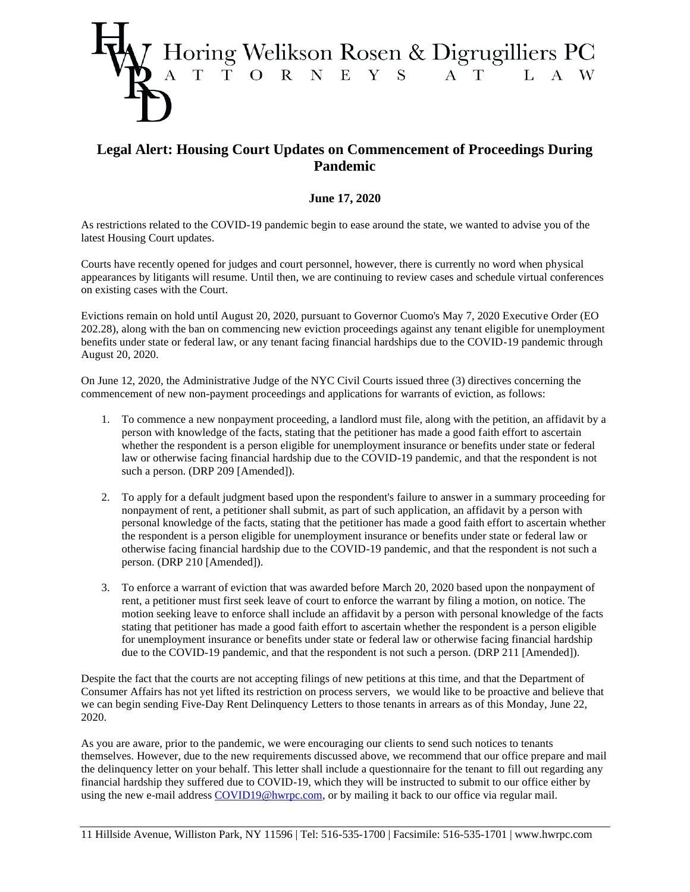

## **Legal Alert: Housing Court Updates on Commencement of Proceedings During Pandemic**

## **June 17, 2020**

As restrictions related to the COVID-19 pandemic begin to ease around the state, we wanted to advise you of the latest Housing Court updates.

Courts have recently opened for judges and court personnel, however, there is currently no word when physical appearances by litigants will resume. Until then, we are continuing to review cases and schedule virtual conferences on existing cases with the Court.

Evictions remain on hold until August 20, 2020, pursuant to Governor Cuomo's May 7, 2020 Executive Order (EO 202.28), along with the ban on commencing new eviction proceedings against any tenant eligible for unemployment benefits under state or federal law, or any tenant facing financial hardships due to the COVID-19 pandemic through August 20, 2020.

On June 12, 2020, the Administrative Judge of the NYC Civil Courts issued three (3) directives concerning the commencement of new non-payment proceedings and applications for warrants of eviction, as follows:

- 1. To commence a new nonpayment proceeding, a landlord must file, along with the petition, an affidavit by a person with knowledge of the facts, stating that the petitioner has made a good faith effort to ascertain whether the respondent is a person eligible for unemployment insurance or benefits under state or federal law or otherwise facing financial hardship due to the COVID-19 pandemic, and that the respondent is not such a person. (DRP 209 [Amended]).
- 2. To apply for a default judgment based upon the respondent's failure to answer in a summary proceeding for nonpayment of rent, a petitioner shall submit, as part of such application, an affidavit by a person with personal knowledge of the facts, stating that the petitioner has made a good faith effort to ascertain whether the respondent is a person eligible for unemployment insurance or benefits under state or federal law or otherwise facing financial hardship due to the COVID-19 pandemic, and that the respondent is not such a person. (DRP 210 [Amended]).
- 3. To enforce a warrant of eviction that was awarded before March 20, 2020 based upon the nonpayment of rent, a petitioner must first seek leave of court to enforce the warrant by filing a motion, on notice. The motion seeking leave to enforce shall include an affidavit by a person with personal knowledge of the facts stating that petitioner has made a good faith effort to ascertain whether the respondent is a person eligible for unemployment insurance or benefits under state or federal law or otherwise facing financial hardship due to the COVID-19 pandemic, and that the respondent is not such a person. (DRP 211 [Amended]).

Despite the fact that the courts are not accepting filings of new petitions at this time, and that the Department of Consumer Affairs has not yet lifted its restriction on process servers, we would like to be proactive and believe that we can begin sending Five-Day Rent Delinquency Letters to those tenants in arrears as of this Monday, June 22, 2020.

As you are aware, prior to the pandemic, we were encouraging our clients to send such notices to tenants themselves. However, due to the new requirements discussed above, we recommend that our office prepare and mail the delinquency letter on your behalf. This letter shall include a questionnaire for the tenant to fill out regarding any financial hardship they suffered due to COVID-19, which they will be instructed to submit to our office either by using the new e-mail address [COVID19@hwrpc.com,](mailto:COVID@hwrpc.com) or by mailing it back to our office via regular mail.